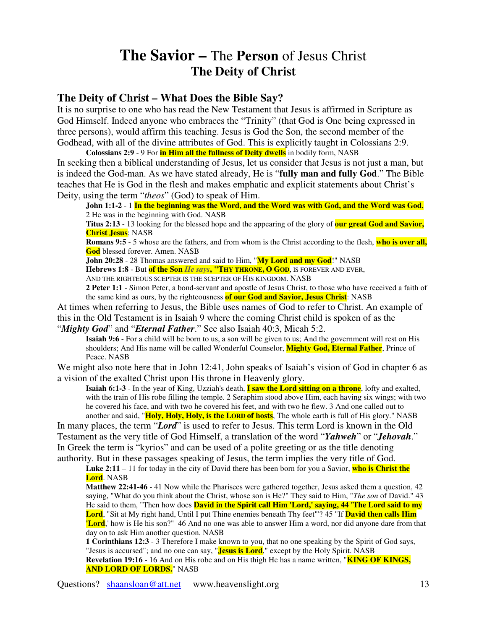## **The Savior –** The **Person** of Jesus Christ **The Deity of Christ**

## **The Deity of Christ – What Does the Bible Say?**

It is no surprise to one who has read the New Testament that Jesus is affirmed in Scripture as God Himself. Indeed anyone who embraces the "Trinity" (that God is One being expressed in three persons), would affirm this teaching. Jesus is God the Son, the second member of the Godhead, with all of the divine attributes of God. This is explicitly taught in Colossians 2:9.

**Colossians 2:9** - 9 For **in Him all the fullness of Deity dwells** in bodily form, NASB In seeking then a biblical understanding of Jesus, let us consider that Jesus is not just a man, but is indeed the God-man. As we have stated already, He is "**fully man and fully God**." The Bible teaches that He is God in the flesh and makes emphatic and explicit statements about Christ's Deity, using the term "*theos*" (God) to speak of Him.

John 1:1-2 - 1 In the beginning was the Word, and the Word was with God, and the Word was God. 2 He was in the beginning with God. NASB

**Titus 2:13** - 13 looking for the blessed hope and the appearing of the glory of **our great God and Savior, Christ Jesus**; NASB

**Romans 9:5** - 5 whose are the fathers, and from whom is the Christ according to the flesh, **who is over all, God** blessed forever. Amen. NASB

**John 20:28** - 28 Thomas answered and said to Him, "**My Lord and my God**!" NASB

**Hebrews 1:8** - But **of the Son** *He says***, "THY THRONE, O GOD**, IS FOREVER AND EVER,

AND THE RIGHTEOUS SCEPTER IS THE SCEPTER OF HIS KINGDOM. NASB

**2 Peter 1:1** - Simon Peter, a bond-servant and apostle of Jesus Christ, to those who have received a faith of the same kind as ours, by the righteousness **of our God and Savior, Jesus Christ**: NASB

At times when referring to Jesus, the Bible uses names of God to refer to Christ. An example of this in the Old Testament is in Isaiah 9 where the coming Christ child is spoken of as the "*Mighty God*" and "*Eternal Father*." See also Isaiah 40:3, Micah 5:2.

**Isaiah 9:6** - For a child will be born to us, a son will be given to us; And the government will rest on His shoulders; And His name will be called Wonderful Counselor, **Mighty God, Eternal Father**, Prince of Peace. NASB

We might also note here that in John 12:41, John speaks of Isaiah's vision of God in chapter 6 as a vision of the exalted Christ upon His throne in Heavenly glory.

**Isaiah 6:1-3** - In the year of King, Uzziah's death, **I saw the Lord sitting on a throne**, lofty and exalted, with the train of His robe filling the temple. 2 Seraphim stood above Him, each having six wings; with two he covered his face, and with two he covered his feet, and with two he flew. 3 And one called out to another and said, "**Holy, Holy, Holy, is the LORD of hosts**, The whole earth is full of His glory." NASB

In many places, the term "*Lord*" is used to refer to Jesus. This term Lord is known in the Old Testament as the very title of God Himself, a translation of the word "*Yahweh*" or "*Jehovah*." In Greek the term is "kyrios" and can be used of a polite greeting or as the title denoting authority. But in these passages speaking of Jesus, the term implies the very title of God.

**Luke 2:11** – 11 for today in the city of David there has been born for you a Savior, **who is Christ the Lord**. NASB

**Matthew 22:41-46** - 41 Now while the Pharisees were gathered together, Jesus asked them a question, 42 saying, "What do you think about the Christ, whose son is He?" They said to Him, "*The son* of David." 43 He said to them, "Then how does **David in the Spirit call Him 'Lord,'saying, 44 'The Lord said to my Lord**, "Sit at My right hand, Until I put Thine enemies beneath Thy feet"'? 45 "If **David then calls Him Lord**, how is He his son?" 46 And no one was able to answer Him a word, nor did anyone dare from that day on to ask Him another question. NASB

**1 Corinthians 12:3** - 3 Therefore I make known to you, that no one speaking by the Spirit of God says, "Jesus is accursed"; and no one can say, "**Jesus is Lord**," except by the Holy Spirit. NASB **Revelation 19:16** - 16 And on His robe and on His thigh He has a name written, "**KING OF KINGS, AND LORD OF LORDS.**" NASB